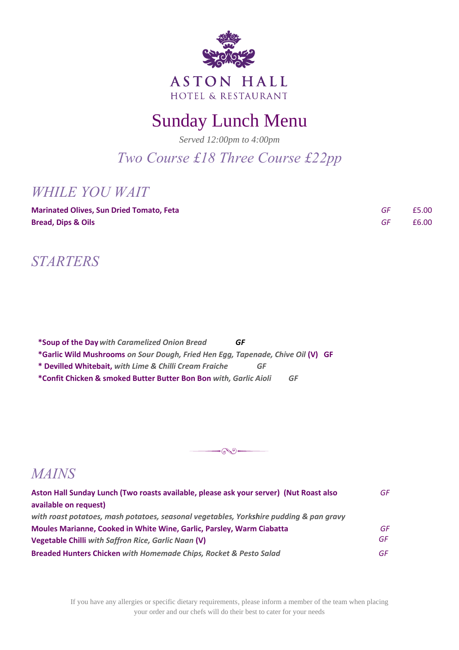

# Sunday Lunch Menu

*Served 12:00pm to 4:00pm*

*Two Course £18 Three Course £22pp*

### *WHILE YOU WAIT*

| <b>Marinated Olives, Sun Dried Tomato, Feta</b> | £5.00 |
|-------------------------------------------------|-------|
| <b>Bread, Dips &amp; Oils</b>                   | £6.00 |

### *STARTERS*

**\*Soup of the Day***with Caramelized Onion Bread GF* **\*Garlic Wild Mushrooms** *on Sour Dough, Fried Hen Egg, Tapenade, Chive Oil* **(V) GF \* Devilled Whitebait,** *with Lime & Chilli Cream Fraiche GF* **\*Confit Chicken & smoked Butter Butter Bon Bon** *with, Garlic Aioli GF*



### *MAINS*

| Aston Hall Sunday Lunch (Two roasts available, please ask your server) (Nut Roast also<br>available on request) | GF  |
|-----------------------------------------------------------------------------------------------------------------|-----|
| with roast potatoes, mash potatoes, seasonal vegetables, Yorkshire pudding & pan gravy                          |     |
| Moules Marianne, Cooked in White Wine, Garlic, Parsley, Warm Ciabatta                                           | GF  |
| Vegetable Chilli with Saffron Rice, Garlic Naan (V)                                                             | GF. |
| Breaded Hunters Chicken with Homemade Chips, Rocket & Pesto Salad                                               | GF. |

If you have any allergies or specific dietary requirements, please inform a member of the team when placing your order and our chefs will do their best to cater for your needs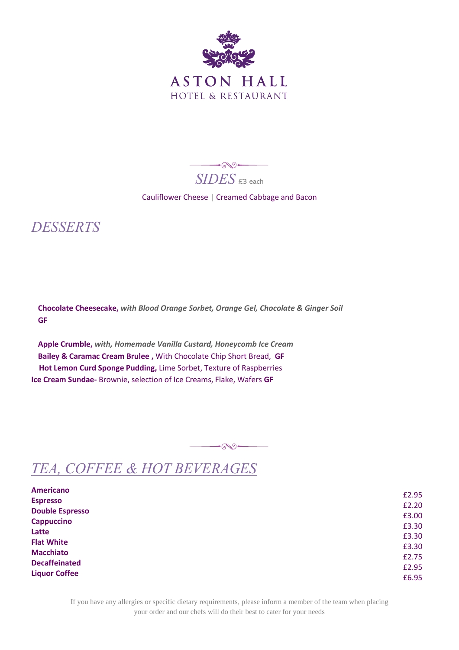

 $\rightarrow$ *SIDES*  $\epsilon$ 3 each

#### Cauliflower Cheese | Creamed Cabbage and Bacon

### *DESSERTS*

**Chocolate Cheesecake,** *with Blood Orange Sorbet, Orange Gel, Chocolate & Ginger Soil* **GF**

**Apple Crumble,** *with, Homemade Vanilla Custard, Honeycomb Ice Cream* **Bailey & Caramac Cream Brulee ,** With Chocolate Chip Short Bread, **GF Hot Lemon Curd Sponge Pudding,** Lime Sorbet, Texture of Raspberries **Ice Cream Sundae-** Brownie, selection of Ice Creams, Flake, Wafers **GF**

## *TEA, COFFEE & HOT BEVERAGES*

| <b>Americano</b>       |       |
|------------------------|-------|
| <b>Espresso</b>        | £2.95 |
| <b>Double Espresso</b> | £2.20 |
| <b>Cappuccino</b>      | £3.00 |
| Latte                  | £3.30 |
| <b>Flat White</b>      | £3.30 |
| <b>Macchiato</b>       | £3.30 |
|                        | £2.75 |
| <b>Decaffeinated</b>   | £2.95 |
| <b>Liquor Coffee</b>   | £6.95 |

 $\overbrace{\phantom{\mathcal{C}(\mathcal{C})\oplus\mathcal{C}}\mathcal{C}}^{\mathcal{C}(\mathcal{C})\oplus\mathcal{C}}$ 

If you have any allergies or specific dietary requirements, please inform a member of the team when placing your order and our chefs will do their best to cater for your needs